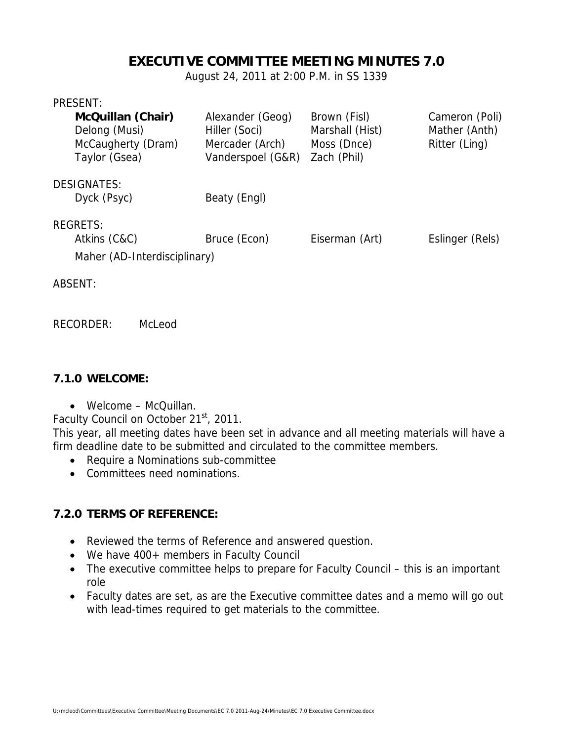# **EXECUTIVE COMMITTEE MEETING MINUTES 7.0**

August 24, 2011 at 2:00 P.M. in SS 1339

#### PRESENT:

| <b>McQuillan (Chair)</b><br>Delong (Musi)<br>McCaugherty (Dram)<br>Taylor (Gsea) | Alexander (Geog)<br>Hiller (Soci)<br>Mercader (Arch)<br>Vanderspoel (G&R) | Brown (Fisl)<br>Marshall (Hist)<br>Moss (Dnce)<br>Zach (Phil) | Cameron (Poli)<br>Mather (Anth)<br>Ritter (Ling) |
|----------------------------------------------------------------------------------|---------------------------------------------------------------------------|---------------------------------------------------------------|--------------------------------------------------|
| <b>DESIGNATES:</b><br>Dyck (Psyc)                                                | Beaty (Engl)                                                              |                                                               |                                                  |
| <b>REGRETS:</b><br>Atkins (C&C)<br>Maher (AD-Interdisciplinary)                  | Bruce (Econ)                                                              | Eiserman (Art)                                                | Eslinger (Rels)                                  |

ABSENT:

RECORDER: McLeod

#### **7.1.0 WELCOME:**

Welcome – McQuillan.

Faculty Council on October 21<sup>st</sup>, 2011.

This year, all meeting dates have been set in advance and all meeting materials will have a firm deadline date to be submitted and circulated to the committee members.

- Require a Nominations sub-committee
- Committees need nominations.

#### **7.2.0 TERMS OF REFERENCE:**

- Reviewed the terms of Reference and answered question.
- We have 400+ members in Faculty Council
- The executive committee helps to prepare for Faculty Council this is an important role
- Faculty dates are set, as are the Executive committee dates and a memo will go out with lead-times required to get materials to the committee.